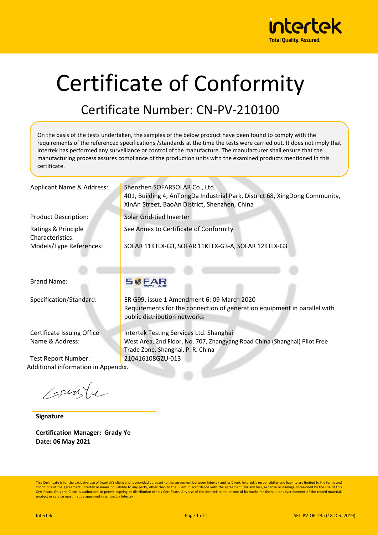

# Certificate of Conformity

## Certificate Number: CN-PV-210100

On the basis of the tests undertaken, the samples of the below product have been found to comply with the requirements of the referenced specifications /standards at the time the tests were carried out. It does not imply that Intertek has performed any surveillance or control of the manufacture. The manufacturer shall ensure that the manufacturing process assures compliance of the production units with the examined products mentioned in this certificate.

XinAn Street, BaoAn District, Shenzhen, China

SOFAR 11KTLX-G3, SOFAR 11KTLX-G3-A, SOFAR 12KTLX-G3

See Annex to Certificate of Conformity

Applicant Name & Address: Shenzhen SOFARSOLAR Co., Ltd.

Product Description: Solar Grid-tied Inverter

Ratings & Principle Characteristics: Models/Type References:

Brand Name:

Certificate Issuing Office Name & Address:

Test Report Number: 210416108GZU-013 Additional information in Appendix.

Courte

**Signature**

**Certification Manager: Grady Ye Date: 06 May 2021**

### **SØFAR**

Specification/Standard: ER G99, issue 1 Amendment 6: 09 March 2020 Requirements for the connection of generation equipment in parallel with public distribution networks

401, Building 4, AnTongDa Industrial Park, District 68, XingDong Community,

Intertek Testing Services Ltd. Shanghai West Area, 2nd Floor, No. 707, Zhangyang Road China (Shanghai) Pilot Free Trade Zone, Shanghai, P. R. China

This Certificate is for the exclusive use of Intertek's client and is provided pursuant to the agreement between Intertek and its Client. Intertek's responsibility and liability are limited to the terms and conditions of the agreement. Intertek assumes no liability to any party, other than to the Client in accordance with the agreement, for any loss, expense or damage occasioned by the use of this Certificate. Only the Client is authorized to permit copying or distribution of this Certificate. Any use of the Intertek name or one of its marks for the sale or advertisement of the tested material product or service must first be approved in writing by Intertek.